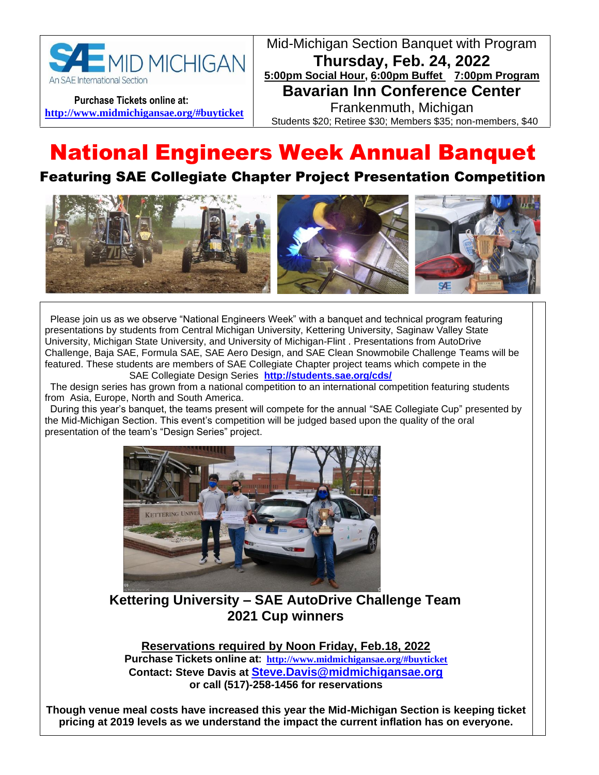

 **Purchase Tickets online at: <http://www.midmichigansae.org/#buyticket>**

Mid-Michigan Section Banquet with Program **Thursday, Feb. 24, 2022 5:00pm Social Hour, 6:00pm Buffet 7:00pm Program Bavarian Inn Conference Center** Frankenmuth, Michigan Students \$20; Retiree \$30; Members \$35; non-members, \$40

# National Engineers Week Annual Banquet

## Featuring SAE Collegiate Chapter Project Presentation Competition



Please join us as we observe "National Engineers Week" with a banquet and technical program featuring presentations by students from Central Michigan University, Kettering University, Saginaw Valley State University, Michigan State University, and University of Michigan-Flint . Presentations from AutoDrive Challenge, Baja SAE, Formula SAE, SAE Aero Design, and SAE Clean Snowmobile Challenge Teams will be featured. These students are members of SAE Collegiate Chapter project teams which compete in the SAE Collegiate Design Series **<http://students.sae.org/cds/>**

 The design series has grown from a national competition to an international competition featuring students from Asia, Europe, North and South America.

 During this year's banquet, the teams present will compete for the annual "SAE Collegiate Cup" presented by the Mid-Michigan Section. This event's competition will be judged based upon the quality of the oral presentation of the team's "Design Series" project.



 **Kettering University – SAE AutoDrive Challenge Team 2021 Cup winners** 

**Reservations required by Noon Friday, Feb.18, 2022 Purchase Tickets online at: <http://www.midmichigansae.org/#buyticket> Contact: Steve Davis at Steve.Davis@midmichigansae.org or call (517)-258-1456 for reservations**

**Though venue meal costs have increased this year the Mid-Michigan Section is keeping ticket pricing at 2019 levels as we understand the impact the current inflation has on everyone.**